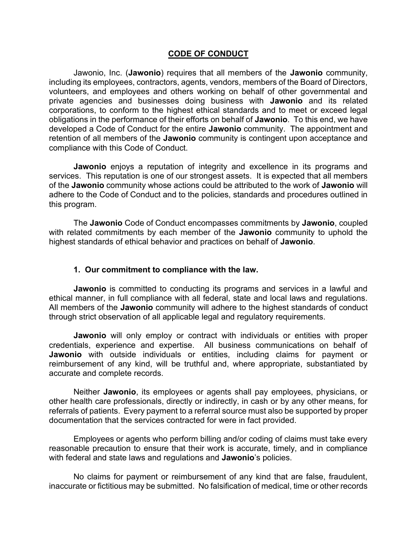#### **CODE OF CONDUCT**

Jawonio, Inc. (**Jawonio**) requires that all members of the **Jawonio** community, including its employees, contractors, agents, vendors, members of the Board of Directors, volunteers, and employees and others working on behalf of other governmental and private agencies and businesses doing business with **Jawonio** and its related corporations, to conform to the highest ethical standards and to meet or exceed legal obligations in the performance of their efforts on behalf of **Jawonio**. To this end, we have developed a Code of Conduct for the entire **Jawonio** community. The appointment and retention of all members of the **Jawonio** community is contingent upon acceptance and compliance with this Code of Conduct.

**Jawonio** enjoys a reputation of integrity and excellence in its programs and services. This reputation is one of our strongest assets. It is expected that all members of the **Jawonio** community whose actions could be attributed to the work of **Jawonio** will adhere to the Code of Conduct and to the policies, standards and procedures outlined in this program.

The **Jawonio** Code of Conduct encompasses commitments by **Jawonio**, coupled with related commitments by each member of the **Jawonio** community to uphold the highest standards of ethical behavior and practices on behalf of **Jawonio**.

#### **1. Our commitment to compliance with the law.**

**Jawonio** is committed to conducting its programs and services in a lawful and ethical manner, in full compliance with all federal, state and local laws and regulations. All members of the **Jawonio** community will adhere to the highest standards of conduct through strict observation of all applicable legal and regulatory requirements.

**Jawonio** will only employ or contract with individuals or entities with proper credentials, experience and expertise. All business communications on behalf of **Jawonio** with outside individuals or entities, including claims for payment or reimbursement of any kind, will be truthful and, where appropriate, substantiated by accurate and complete records.

Neither **Jawonio**, its employees or agents shall pay employees, physicians, or other health care professionals, directly or indirectly, in cash or by any other means, for referrals of patients. Every payment to a referral source must also be supported by proper documentation that the services contracted for were in fact provided.

Employees or agents who perform billing and/or coding of claims must take every reasonable precaution to ensure that their work is accurate, timely, and in compliance with federal and state laws and regulations and **Jawonio**'s policies.

No claims for payment or reimbursement of any kind that are false, fraudulent, inaccurate or fictitious may be submitted. No falsification of medical, time or other records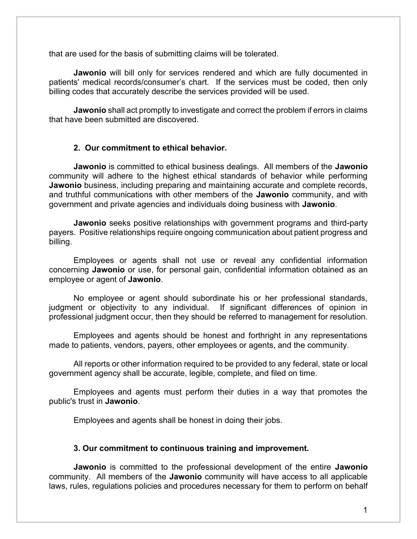that are used for the basis of submitting claims will be tolerated.

**Jawonio** will bill only for services rendered and which are fully documented in patients' medical records/consumer's chart. If the services must be coded, then only billing codes that accurately describe the services provided will be used.

**Jawonio** shall act promptly to investigate and correct the problem if errors in claims that have been submitted are discovered.

# **2. Our commitment to ethical behavior.**

**Jawonio** is committed to ethical business dealings. All members of the **Jawonio** community will adhere to the highest ethical standards of behavior while performing **Jawonio** business, including preparing and maintaining accurate and complete records, and truthful communications with other members of the **Jawonio** community, and with government and private agencies and individuals doing business with **Jawonio**.

**Jawonio** seeks positive relationships with government programs and third-party payers. Positive relationships require ongoing communication about patient progress and billing.

Employees or agents shall not use or reveal any confidential information concerning **Jawonio** or use, for personal gain, confidential information obtained as an employee or agent of **Jawonio**.

No employee or agent should subordinate his or her professional standards, judgment or objectivity to any individual. If significant differences of opinion in professional judgment occur, then they should be referred to management for resolution.

Employees and agents should be honest and forthright in any representations made to patients, vendors, payers, other employees or agents, and the community.

All reports or other information required to be provided to any federal, state or local government agency shall be accurate, legible, complete, and filed on time.

Employees and agents must perform their duties in a way that promotes the public's trust in **Jawonio**.

Employees and agents shall be honest in doing their jobs.

## **3. Our commitment to continuous training and improvement.**

**Jawonio** is committed to the professional development of the entire **Jawonio** community. All members of the **Jawonio** community will have access to all applicable laws, rules, regulations policies and procedures necessary for them to perform on behalf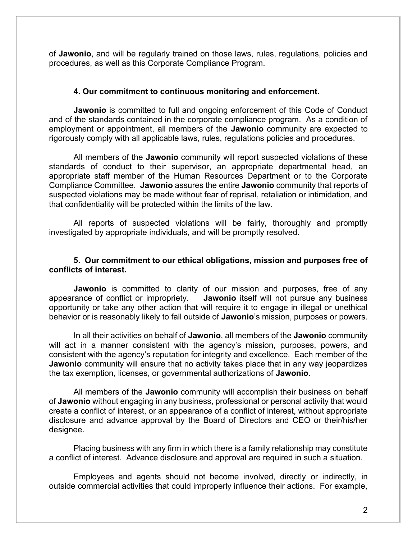of **Jawonio**, and will be regularly trained on those laws, rules, regulations, policies and procedures, as well as this Corporate Compliance Program.

### **4. Our commitment to continuous monitoring and enforcement.**

**Jawonio** is committed to full and ongoing enforcement of this Code of Conduct and of the standards contained in the corporate compliance program. As a condition of employment or appointment, all members of the **Jawonio** community are expected to rigorously comply with all applicable laws, rules, regulations policies and procedures.

All members of the **Jawonio** community will report suspected violations of these standards of conduct to their supervisor, an appropriate departmental head, an appropriate staff member of the Human Resources Department or to the Corporate Compliance Committee. **Jawonio** assures the entire **Jawonio** community that reports of suspected violations may be made without fear of reprisal, retaliation or intimidation, and that confidentiality will be protected within the limits of the law.

All reports of suspected violations will be fairly, thoroughly and promptly investigated by appropriate individuals, and will be promptly resolved.

### **5. Our commitment to our ethical obligations, mission and purposes free of conflicts of interest.**

**Jawonio** is committed to clarity of our mission and purposes, free of any appearance of conflict or impropriety. **Jawonio** itself will not pursue any business opportunity or take any other action that will require it to engage in illegal or unethical behavior or is reasonably likely to fall outside of **Jawonio**'s mission, purposes or powers.

In all their activities on behalf of **Jawonio**, all members of the **Jawonio** community will act in a manner consistent with the agency's mission, purposes, powers, and consistent with the agency's reputation for integrity and excellence. Each member of the **Jawonio** community will ensure that no activity takes place that in any way jeopardizes the tax exemption, licenses, or governmental authorizations of **Jawonio**.

All members of the **Jawonio** community will accomplish their business on behalf of **Jawonio** without engaging in any business, professional or personal activity that would create a conflict of interest, or an appearance of a conflict of interest, without appropriate disclosure and advance approval by the Board of Directors and CEO or their/his/her designee.

Placing business with any firm in which there is a family relationship may constitute a conflict of interest. Advance disclosure and approval are required in such a situation.

Employees and agents should not become involved, directly or indirectly, in outside commercial activities that could improperly influence their actions. For example,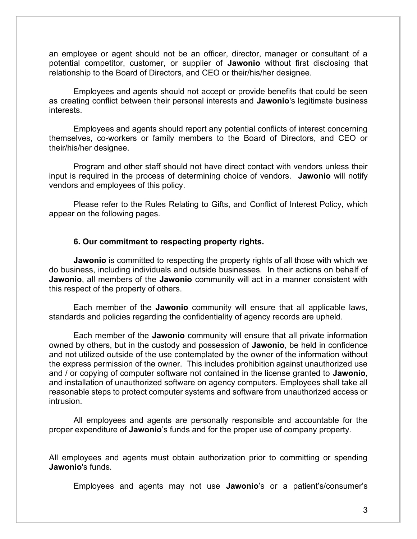an employee or agent should not be an officer, director, manager or consultant of a potential competitor, customer, or supplier of **Jawonio** without first disclosing that relationship to the Board of Directors, and CEO or their/his/her designee.

Employees and agents should not accept or provide benefits that could be seen as creating conflict between their personal interests and **Jawonio**'s legitimate business interests.

Employees and agents should report any potential conflicts of interest concerning themselves, co-workers or family members to the Board of Directors, and CEO or their/his/her designee.

Program and other staff should not have direct contact with vendors unless their input is required in the process of determining choice of vendors. **Jawonio** will notify vendors and employees of this policy.

Please refer to the Rules Relating to Gifts, and Conflict of Interest Policy, which appear on the following pages.

#### **6. Our commitment to respecting property rights.**

**Jawonio** is committed to respecting the property rights of all those with which we do business, including individuals and outside businesses. In their actions on behalf of **Jawonio**, all members of the **Jawonio** community will act in a manner consistent with this respect of the property of others.

Each member of the **Jawonio** community will ensure that all applicable laws, standards and policies regarding the confidentiality of agency records are upheld.

Each member of the **Jawonio** community will ensure that all private information owned by others, but in the custody and possession of **Jawonio**, be held in confidence and not utilized outside of the use contemplated by the owner of the information without the express permission of the owner. This includes prohibition against unauthorized use and / or copying of computer software not contained in the license granted to **Jawonio**, and installation of unauthorized software on agency computers. Employees shall take all reasonable steps to protect computer systems and software from unauthorized access or intrusion.

All employees and agents are personally responsible and accountable for the proper expenditure of **Jawonio**'s funds and for the proper use of company property.

All employees and agents must obtain authorization prior to committing or spending **Jawonio**'s funds.

Employees and agents may not use **Jawonio**'s or a patient's/consumer's